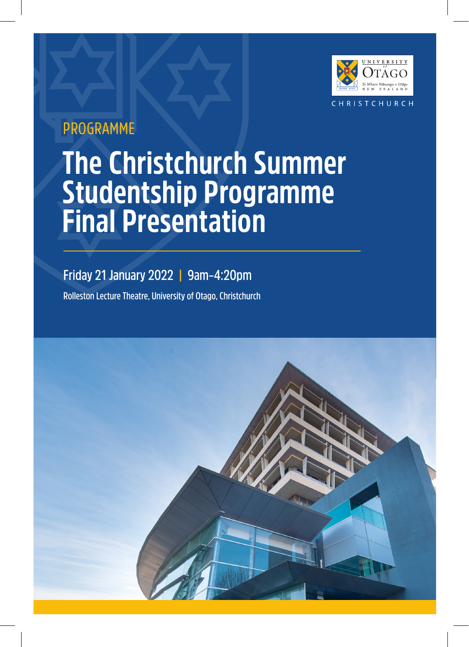

## PROGRAMME

# **The Christchurch Summer Studentship Programme Final Presentation**

## **Friday 21 January 2022 | 9am–4:20pm**

**Rolleston Lecture Theatre, University of Otago, Christchurch**

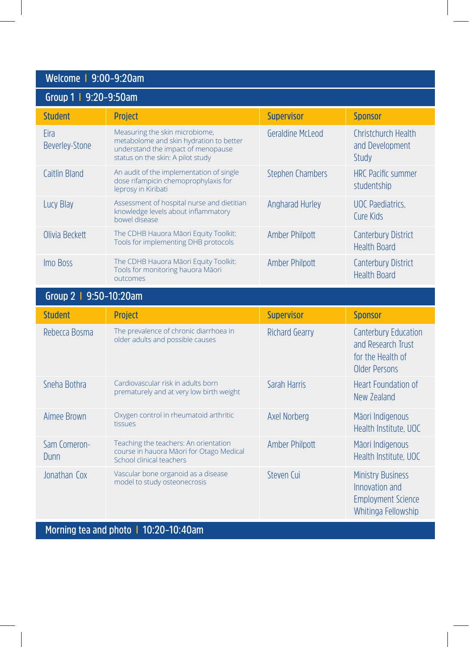### **Welcome I 9:00–9:20am**

| Group 1   9:20-9:50am         |                                                                                                                                                      |                         |                                                   |
|-------------------------------|------------------------------------------------------------------------------------------------------------------------------------------------------|-------------------------|---------------------------------------------------|
| <b>Student</b>                | <b>Project</b>                                                                                                                                       | <b>Supervisor</b>       | <b>Sponsor</b>                                    |
| Eira<br><b>Beverley-Stone</b> | Measuring the skin microbiome,<br>metabolome and skin hydration to better<br>understand the impact of menopause<br>status on the skin: A pilot study | Geraldine McLeod        | Christchurch Health<br>and Development<br>Study   |
| Caitlin Bland                 | An audit of the implementation of single<br>dose rifampicin chemoprophylaxis for<br>leprosy in Kiribati                                              | <b>Stephen Chambers</b> | <b>HRC</b> Pacific summer<br>studentship          |
| Lucy Blay                     | Assessment of hospital nurse and dietitian<br>knowledge levels about inflammatory<br>bowel disease                                                   | Angharad Hurley         | <b>UOC</b> Paediatrics,<br>Cure Kids              |
| Olivia Beckett                | The CDHB Hauora Māori Equity Toolkit:<br>Tools for implementing DHB protocols                                                                        | Amber Philpott          | <b>Canterbury District</b><br><b>Health Board</b> |
| Imo Boss                      | The CDHB Hauora Māori Equity Toolkit:<br>Tools for monitoring hauora Māori<br>outcomes                                                               | Amber Philpott          | <b>Canterbury District</b><br><b>Health Board</b> |
| Group 2   9:50-10:20am        |                                                                                                                                                      |                         |                                                   |

| <b>Student</b>       | <b>Project</b>                                                                                                | <b>Supervisor</b>     | Sponsor                                                                                        |
|----------------------|---------------------------------------------------------------------------------------------------------------|-----------------------|------------------------------------------------------------------------------------------------|
| Rebecca Bosma        | The prevalence of chronic diarrhoea in<br>older adults and possible causes                                    | Richard Gearry        | <b>Canterbury Education</b><br>and Research Trust<br>for the Health of<br><b>Older Persons</b> |
| Sneha Bothra         | Cardiovascular risk in adults born<br>prematurely and at very low birth weight                                | Sarah Harris          | Heart Foundation of<br>New Zealand                                                             |
| Aimee Brown          | Oxygen control in rheumatoid arthritic<br>tissues                                                             | Axel Norberg          | Māori Indigenous<br>Health Institute, UOC                                                      |
| Sam Comeron-<br>Dunn | Teaching the teachers: An orientation<br>course in hauora Māori for Otago Medical<br>School clinical teachers | <b>Amber Philpott</b> | Māori Indigenous<br>Health Institute, UOC                                                      |
| Jonathan Cox         | Vascular bone organoid as a disease<br>model to study osteonecrosis                                           | Steven Cui            | <b>Ministry Business</b><br>Innovation and<br><b>Employment Science</b><br>Whitinga Fellowship |

**Morning tea and photo I 10:20–10:40am**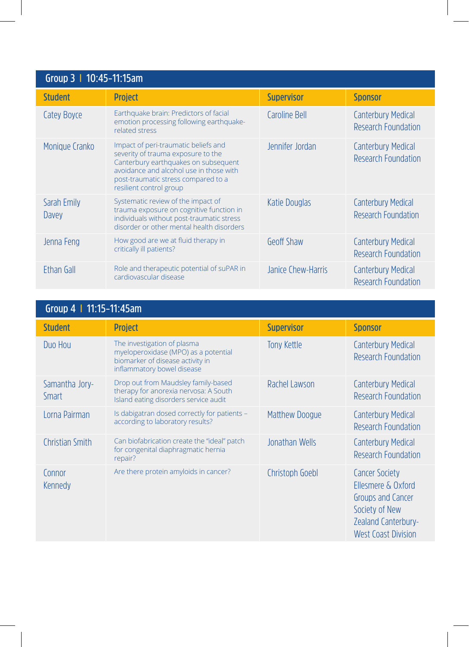| Group 3   10:45-11:15am |                                                                                                                                                                                                                                 |                    |                                                         |
|-------------------------|---------------------------------------------------------------------------------------------------------------------------------------------------------------------------------------------------------------------------------|--------------------|---------------------------------------------------------|
| <b>Student</b>          | <b>Project</b>                                                                                                                                                                                                                  | <b>Supervisor</b>  | <b>Sponsor</b>                                          |
| Catey Boyce             | Earthquake brain: Predictors of facial<br>emotion processing following earthquake-<br>related stress                                                                                                                            | Caroline Bell      | <b>Canterbury Medical</b><br>Research Foundation        |
| Monique Cranko          | Impact of peri-traumatic beliefs and<br>severity of trauma exposure to the<br>Canterbury earthquakes on subsequent<br>avoidance and alcohol use in those with<br>post-traumatic stress compared to a<br>resilient control group | Jennifer Jordan    | <b>Canterbury Medical</b><br>Research Foundation        |
| Sarah Emily<br>Davey    | Systematic review of the impact of<br>trauma exposure on cognitive function in<br>individuals without post-traumatic stress<br>disorder or other mental health disorders                                                        | Katie Douglas      | <b>Canterbury Medical</b><br>Research Foundation        |
| Jenna Feng              | How good are we at fluid therapy in<br>critically ill patients?                                                                                                                                                                 | Geoff Shaw         | <b>Canterbury Medical</b><br>Research Foundation        |
| Ethan Gall              | Role and therapeutic potential of suPAR in<br>cardiovascular disease                                                                                                                                                            | Janice Chew-Harris | <b>Canterbury Medical</b><br><b>Research Foundation</b> |

| Group 4   11:15-11:45am        |                                                                                                                                       |                   |                                                                                                                                                |
|--------------------------------|---------------------------------------------------------------------------------------------------------------------------------------|-------------------|------------------------------------------------------------------------------------------------------------------------------------------------|
| <b>Student</b>                 | <b>Project</b>                                                                                                                        | <b>Supervisor</b> | <b>Sponsor</b>                                                                                                                                 |
| Duo Hou                        | The investigation of plasma<br>myeloperoxidase (MPO) as a potential<br>biomarker of disease activity in<br>inflammatory bowel disease | Tony Kettle       | <b>Canterbury Medical</b><br>Research Foundation                                                                                               |
| Samantha Jory-<br><b>Smart</b> | Drop out from Maudsley family-based<br>therapy for anorexia nervosa: A South<br>Island eating disorders service audit                 | Rachel Lawson     | <b>Canterbury Medical</b><br>Research Foundation                                                                                               |
| Lorna Pairman                  | Is dabigatran dosed correctly for patients -<br>according to laboratory results?                                                      | Matthew Doogue    | Canterbury Medical<br>Research Foundation                                                                                                      |
| <b>Christian Smith</b>         | Can biofabrication create the "ideal" patch<br>for congenital diaphragmatic hernia<br>repair?                                         | Jonathan Wells    | Canterbury Medical<br>Research Foundation                                                                                                      |
| Connor<br>Kennedy              | Are there protein amyloids in cancer?                                                                                                 | Christoph Goebl   | <b>Cancer Society</b><br>Ellesmere & Oxford<br>Groups and Cancer<br>Society of New<br><b>Zealand Canterbury-</b><br><b>West Coast Division</b> |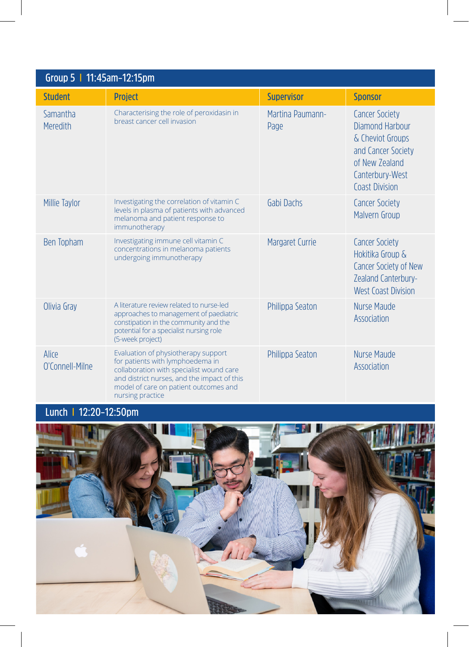| Group 5   11:45am-12:15pm |                                                                                                                                                                                                                                 |                          |                                                                                                                                                  |
|---------------------------|---------------------------------------------------------------------------------------------------------------------------------------------------------------------------------------------------------------------------------|--------------------------|--------------------------------------------------------------------------------------------------------------------------------------------------|
| <b>Student</b>            | <b>Project</b>                                                                                                                                                                                                                  | <b>Supervisor</b>        | <b>Sponsor</b>                                                                                                                                   |
| Samantha<br>Meredith      | Characterising the role of peroxidasin in<br>breast cancer cell invasion                                                                                                                                                        | Martina Paumann-<br>Page | <b>Cancer Society</b><br>Diamond Harbour<br>& Cheviot Groups<br>and Cancer Society<br>of New Zealand<br>Canterbury-West<br><b>Coast Division</b> |
| Millie Taylor             | Investigating the correlation of vitamin C<br>levels in plasma of patients with advanced<br>melanoma and patient response to<br>immunotherapy                                                                                   | Gabi Dachs               | <b>Cancer Society</b><br>Malvern Group                                                                                                           |
| Ben Topham                | Investigating immune cell vitamin C<br>concentrations in melanoma patients<br>undergoing immunotherapy                                                                                                                          | Margaret Currie          | <b>Cancer Society</b><br>Hokitika Group &<br>Cancer Society of New<br><b>Zealand Canterbury-</b><br><b>West Coast Division</b>                   |
| Olivia Gray               | A literature review related to nurse-led<br>approaches to management of paediatric<br>constipation in the community and the<br>potential for a specialist nursing role<br>(5-week project)                                      | Philippa Seaton          | Nurse Maude<br>Association                                                                                                                       |
| Alice<br>O'Connell-Milne  | Evaluation of physiotherapy support<br>for patients with lymphoedema in<br>collaboration with specialist wound care<br>and district nurses, and the impact of this<br>model of care on patient outcomes and<br>nursing practice | Philippa Seaton          | Nurse Maude<br>Association                                                                                                                       |

### **Lunch I 12:20–12:50pm**

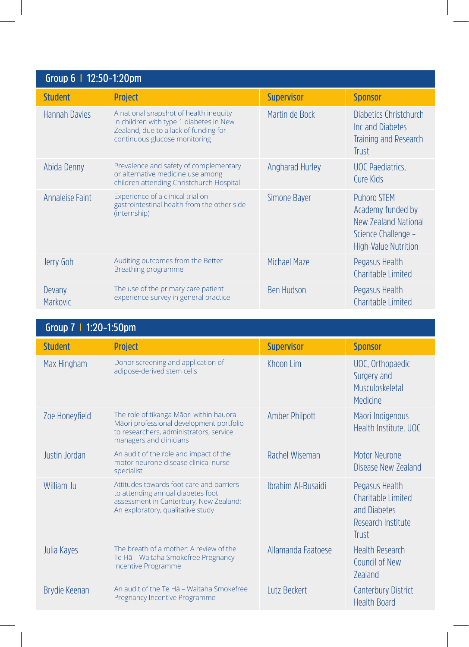| Group 6   12:50-1:20pm    |                                                                                                                                                             |                        |                                                                                                                       |
|---------------------------|-------------------------------------------------------------------------------------------------------------------------------------------------------------|------------------------|-----------------------------------------------------------------------------------------------------------------------|
| <b>Student</b>            | <b>Project</b>                                                                                                                                              | <b>Supervisor</b>      | <b>Sponsor</b>                                                                                                        |
| <b>Hannah Davies</b>      | A national snapshot of health inequity<br>in children with type 1 diabetes in New<br>Zealand, due to a lack of funding for<br>continuous glucose monitoring | Martin de Bock         | Diabetics Christchurch<br>Inc and Diabetes<br>Training and Research<br><b>Trust</b>                                   |
| Abida Denny               | Prevalence and safety of complementary<br>or alternative medicine use among<br>children attending Christchurch Hospital                                     | <b>Angharad Hurley</b> | <b>UOC</b> Paediatrics.<br>Cure Kids                                                                                  |
| Annaleise Faint           | Experience of a clinical trial on<br>gastrointestinal health from the other side<br>(internship)                                                            | Simone Baver           | <b>Puhoro STEM</b><br>Academy funded by<br>New Zealand National<br>Science Challenge -<br><b>High-Value Nutrition</b> |
| Jerry Goh                 | Auditing outcomes from the Better<br>Breathing programme                                                                                                    | Michael Maze           | Pegasus Health<br>Charitable Limited                                                                                  |
| Devany<br><b>Markovic</b> | The use of the primary care patient<br>experience survey in general practice                                                                                | <b>Ben Hudson</b>      | Pegasus Health<br>Charitable Limited                                                                                  |

| Group 7   1:20-1:50pm |                                                                                                                                                              |                     |                                                                                     |
|-----------------------|--------------------------------------------------------------------------------------------------------------------------------------------------------------|---------------------|-------------------------------------------------------------------------------------|
| <b>Student</b>        | <b>Project</b>                                                                                                                                               | <b>Supervisor</b>   | <b>Sponsor</b>                                                                      |
| Max Hingham           | Donor screening and application of<br>adipose-derived stem cells                                                                                             | Khoon Lim           | UOC, Orthopaedic<br>Surgery and<br>Musculoskeletal<br>Medicine                      |
| Zoe Honeyfield        | The role of tikanga Māori within hauora<br>Māori professional development portfolio<br>to researchers, administrators, service<br>managers and clinicians    | Amber Philpott      | Māori Indigenous<br>Health Institute, UOC                                           |
| Justin Jordan         | An audit of the role and impact of the<br>motor neurone disease clinical nurse<br>specialist                                                                 | Rachel Wiseman      | Motor Neurone<br>Disease New Zealand                                                |
| William Ju            | Attitudes towards foot care and barriers<br>to attending annual diabetes foot<br>assessment in Canterbury, New Zealand:<br>An exploratory, qualitative study | Ibrahim Al-Busaidi  | Pegasus Health<br>Charitable Limited<br>and Diabetes<br>Research Institute<br>Trust |
| Julia Kayes           | The breath of a mother: A review of the<br>Te Hā - Waitaha Smokefree Pregnancy<br>Incentive Programme                                                        | Allamanda Faatoese  | <b>Health Research</b><br>Council of New<br><b>Zealand</b>                          |
| Brydie Keenan         | An audit of the Te Ha - Waitaha Smokefree<br>Pregnancy Incentive Programme                                                                                   | <b>Lutz Beckert</b> | <b>Canterbury District</b><br><b>Health Board</b>                                   |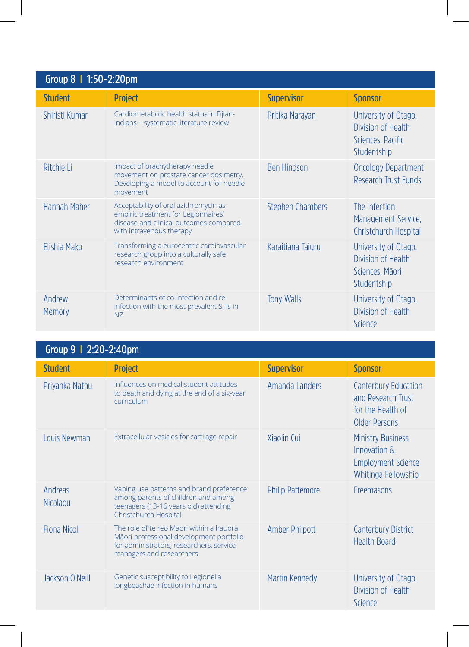| Group 8   1:50-2:20pm |                                                                                                                                                    |                         |                                                                                |
|-----------------------|----------------------------------------------------------------------------------------------------------------------------------------------------|-------------------------|--------------------------------------------------------------------------------|
| <b>Student</b>        | <b>Project</b>                                                                                                                                     | <b>Supervisor</b>       | <b>Sponsor</b>                                                                 |
| Shiristi Kumar        | Cardiometabolic health status in Fijian-<br>Indians - systematic literature review                                                                 | Pritika Narayan         | University of Otago,<br>Division of Health<br>Sciences, Pacific<br>Studentship |
| Ritchie Li            | Impact of brachytherapy needle<br>movement on prostate cancer dosimetry.<br>Developing a model to account for needle<br>movement                   | <b>Ben Hindson</b>      | <b>Oncology Department</b><br>Research Trust Funds                             |
| Hannah Maher          | Acceptability of oral azithromycin as<br>empiric treatment for Legionnaires'<br>disease and clinical outcomes compared<br>with intravenous therapy | <b>Stephen Chambers</b> | The Infection<br>Management Service.<br>Christchurch Hospital                  |
| Elishia Mako          | Transforming a eurocentric cardiovascular<br>research group into a culturally safe<br>research environment                                         | Karaitiana Taiuru       | University of Otago,<br>Division of Health<br>Sciences, Māori<br>Studentship   |
| Andrew<br>Memory      | Determinants of co-infection and re-<br>infection with the most prevalent STIs in<br>N <sub>7</sub>                                                | <b>Tony Walls</b>       | University of Otago,<br>Division of Health<br>Science                          |

| Group 9   2:20-2:40pm      |                                                                                                                                                              |                         |                                                                                                     |
|----------------------------|--------------------------------------------------------------------------------------------------------------------------------------------------------------|-------------------------|-----------------------------------------------------------------------------------------------------|
| <b>Student</b>             | <b>Project</b>                                                                                                                                               | <b>Supervisor</b>       | <b>Sponsor</b>                                                                                      |
| Priyanka Nathu             | Influences on medical student attitudes<br>to death and dying at the end of a six-year<br>curriculum                                                         | Amanda Landers          | <b>Canterbury Education</b><br>and Research Trust<br>for the Health of<br>Older Persons             |
| Louis Newman               | Extracellular vesicles for cartilage repair                                                                                                                  | Xiaolin Cui             | <b>Ministry Business</b><br>Innovation $\delta$<br><b>Employment Science</b><br>Whitinga Fellowship |
| Andreas<br><b>Nicolaou</b> | Vaping use patterns and brand preference<br>among parents of children and among<br>teenagers (13-16 years old) attending<br>Christchurch Hospital            | <b>Philip Pattemore</b> | Freemasons                                                                                          |
| Fiona Nicoll               | The role of te reo Māori within a hauora<br>Māori professional development portfolio<br>for administrators, researchers, service<br>managers and researchers | Amber Philpott          | <b>Canterbury District</b><br><b>Health Board</b>                                                   |
| Jackson O'Neill            | Genetic susceptibility to Legionella<br>longbeachae infection in humans                                                                                      | Martin Kennedy          | University of Otago,<br>Division of Health<br>Science                                               |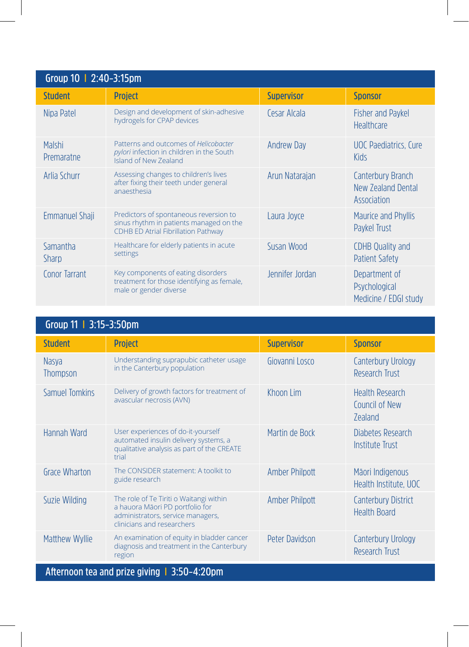| Group 10   2:40-3:15pm      |                                                                                                                                 |                   |                                                         |
|-----------------------------|---------------------------------------------------------------------------------------------------------------------------------|-------------------|---------------------------------------------------------|
| <b>Student</b>              | <b>Project</b>                                                                                                                  | <b>Supervisor</b> | <b>Sponsor</b>                                          |
| Nipa Patel                  | Design and development of skin-adhesive<br>hydrogels for CPAP devices                                                           | Cesar Alcala      | <b>Fisher and Paykel</b><br>Healthcare                  |
| <b>Malshi</b><br>Premaratne | Patterns and outcomes of Helicobacter<br>pylori infection in children in the South<br><b>Island of New Zealand</b>              | <b>Andrew Day</b> | <b>UOC</b> Paediatrics. Cure<br>Kids                    |
| Arlia Schurr                | Assessing changes to children's lives<br>after fixing their teeth under general<br>anaesthesia                                  | Arun Natarajan    | Canterbury Branch<br>New Zealand Dental<br>Association  |
| <b>Emmanuel Shaii</b>       | Predictors of spontaneous reversion to<br>sinus rhythm in patients managed on the<br><b>CDHB ED Atrial Fibrillation Pathway</b> | Laura Joyce       | <b>Maurice and Phyllis</b><br>Paykel Trust              |
| Samantha<br><b>Sharp</b>    | Healthcare for elderly patients in acute<br>settings                                                                            | Susan Wood        | <b>CDHB Quality and</b><br><b>Patient Safety</b>        |
| Conor Tarrant               | Key components of eating disorders<br>treatment for those identifying as female,<br>male or gender diverse                      | Jennifer Jordan   | Department of<br>Psychological<br>Medicine / EDGI study |

| Group 11   3:15-3:50pm                       |                                                                                                                                               |                       |                                                            |
|----------------------------------------------|-----------------------------------------------------------------------------------------------------------------------------------------------|-----------------------|------------------------------------------------------------|
| <b>Student</b>                               | <b>Project</b>                                                                                                                                | <b>Supervisor</b>     | <b>Sponsor</b>                                             |
| <b>Nasya</b><br><b>Thompson</b>              | Understanding suprapubic catheter usage<br>in the Canterbury population                                                                       | Giovanni Losco        | <b>Canterbury Urology</b><br>Research Trust                |
| <b>Samuel Tomkins</b>                        | Delivery of growth factors for treatment of<br>avascular necrosis (AVN)                                                                       | Khoon Lim             | <b>Health Research</b><br>Council of New<br><b>Zealand</b> |
| Hannah Ward                                  | User experiences of do-it-yourself<br>automated insulin delivery systems, a<br>qualitative analysis as part of the CREATE<br>trial            | Martin de Bock        | Diabetes Research<br><b>Institute Trust</b>                |
| Grace Wharton                                | The CONSIDER statement: A toolkit to<br>guide research                                                                                        | <b>Amber Philpott</b> | Māori Indigenous<br>Health Institute, UOC                  |
| Suzie Wilding                                | The role of Te Tiriti o Waitangi within<br>a hauora Māori PD portfolio for<br>administrators, service managers,<br>clinicians and researchers | <b>Amber Philpott</b> | <b>Canterbury District</b><br><b>Health Board</b>          |
| Matthew Wyllie                               | An examination of equity in bladder cancer<br>diagnosis and treatment in the Canterbury<br>region                                             | Peter Davidson        | <b>Canterbury Urology</b><br>Research Trust                |
| Afternoon tea and prize giving   3:50-4:20pm |                                                                                                                                               |                       |                                                            |